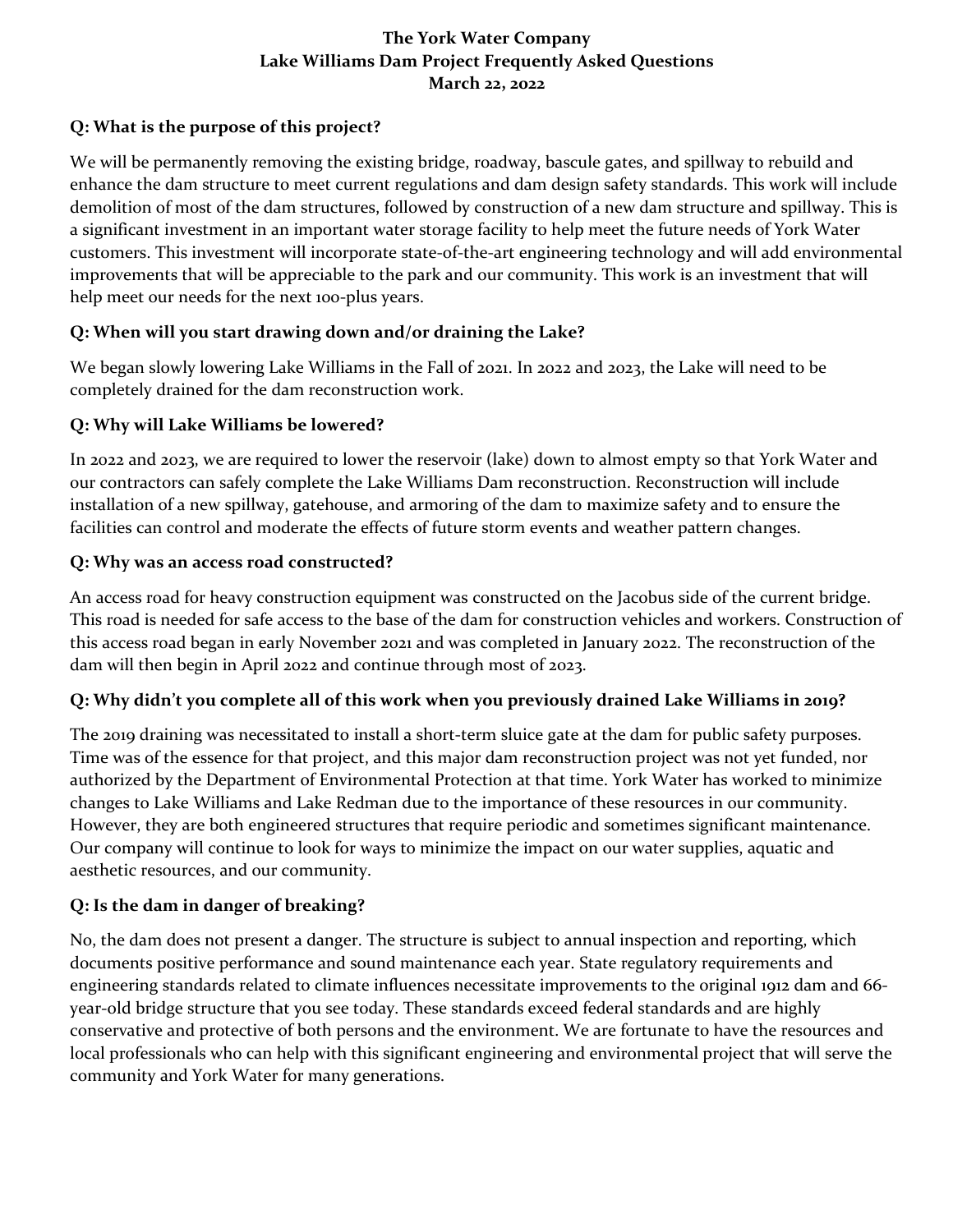# **The York Water Company Lake Williams Dam Project Frequently Asked Questions March 22, 2022**

# **Q: What is the purpose of this project?**

We will be permanently removing the existing bridge, roadway, bascule gates, and spillway to rebuild and enhance the dam structure to meet current regulations and dam design safety standards. This work will include demolition of most of the dam structures, followed by construction of a new dam structure and spillway. This is a significant investment in an important water storage facility to help meet the future needs of York Water customers. This investment will incorporate state-of-the-art engineering technology and will add environmental improvements that will be appreciable to the park and our community. This work is an investment that will help meet our needs for the next 100-plus years.

## **Q: When will you start drawing down and/or draining the Lake?**

We began slowly lowering Lake Williams in the Fall of 2021. In 2022 and 2023, the Lake will need to be completely drained for the dam reconstruction work.

## **Q: Why will Lake Williams be lowered?**

In 2022 and 2023, we are required to lower the reservoir (lake) down to almost empty so that York Water and our contractors can safely complete the Lake Williams Dam reconstruction. Reconstruction will include installation of a new spillway, gatehouse, and armoring of the dam to maximize safety and to ensure the facilities can control and moderate the effects of future storm events and weather pattern changes.

## **Q: Why was an access road constructed?**

An access road for heavy construction equipment was constructed on the Jacobus side of the current bridge. This road is needed for safe access to the base of the dam for construction vehicles and workers. Construction of this access road began in early November 2021 and was completed in January 2022. The reconstruction of the dam will then begin in April 2022 and continue through most of 2023.

### **Q: Why didn't you complete all of this work when you previously drained Lake Williams in 2019?**

The 2019 draining was necessitated to install a short-term sluice gate at the dam for public safety purposes. Time was of the essence for that project, and this major dam reconstruction project was not yet funded, nor authorized by the Department of Environmental Protection at that time. York Water has worked to minimize changes to Lake Williams and Lake Redman due to the importance of these resources in our community. However, they are both engineered structures that require periodic and sometimes significant maintenance. Our company will continue to look for ways to minimize the impact on our water supplies, aquatic and aesthetic resources, and our community.

### **Q: Is the dam in danger of breaking?**

No, the dam does not present a danger. The structure is subject to annual inspection and reporting, which documents positive performance and sound maintenance each year. State regulatory requirements and engineering standards related to climate influences necessitate improvements to the original 1912 dam and 66 year-old bridge structure that you see today. These standards exceed federal standards and are highly conservative and protective of both persons and the environment. We are fortunate to have the resources and local professionals who can help with this significant engineering and environmental project that will serve the community and York Water for many generations.